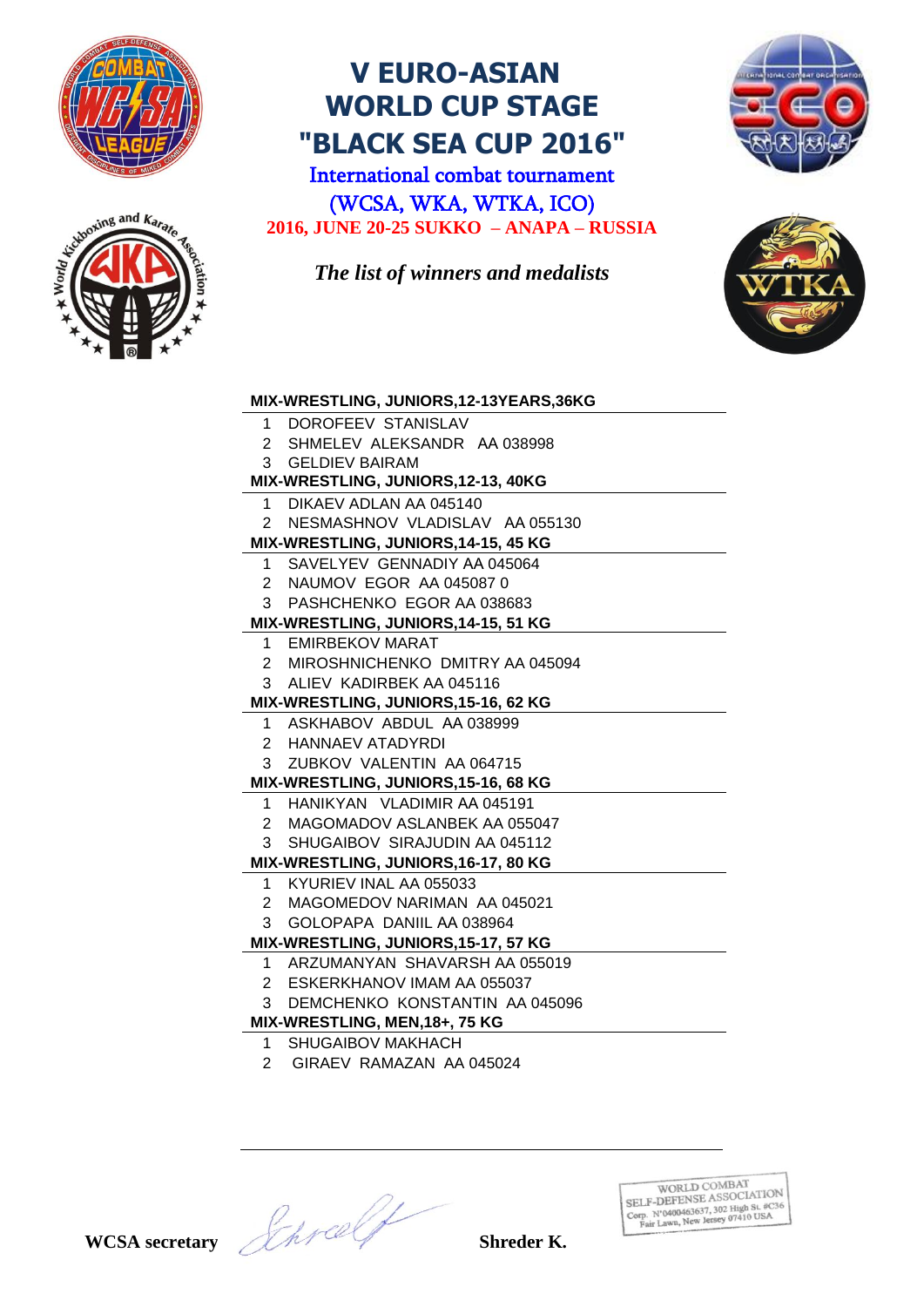

International combat tournament

(WCSA, WKA, WTKA, ICO) **2016, JUNE 20-25 SUKKO – ANAPA – RUSSIA**

*The list of winners and medalists*





#### **MIX-WRESTLING, JUNIORS,12-13YEARS,36KG**

- 1 DOROFEEV STANISLAV
- 2 SHMELEV ALEKSANDR АА 038998
- 3 GELDIEV BAIRAM
- **MIX-WRESTLING, JUNIORS,12-13, 40KG**
- 1 DIKAEV ADLAN AA 045140
- 2 NESMASHNOV VLADISLAV АА 055130

#### **MIX-WRESTLING, JUNIORS,14-15, 45 KG**

- 1 SAVELYEV GENNADIY АА 045064
- 2 NAUMOV EGOR AA 045087 0
- 3 PASHCHENKO EGOR AA 038683
- **MIX-WRESTLING, JUNIORS,14-15, 51 KG**
- 1 EMIRBEKOV MARAT
- 2 MIROSHNICHENKO DMITRY AA 045094
- 3 ALIEV KADIRBEK AA 045116

#### **MIX-WRESTLING, JUNIORS,15-16, 62 KG**

- 1 ASKHABOV ABDUL АА 038999
- 2 HANNAEV ATADYRDI
- 3 ZUBKOV VALENTIN AA 064715

#### **MIX-WRESTLING, JUNIORS,15-16, 68 KG**

- 1 HANIKYAN VLADIMIR АА 045191
- 2 MAGOMADOV ASLANBEK AA 055047

### 3 SHUGAIBOV SIRAJUDIN AA 045112

- **MIX-WRESTLING, JUNIORS,16-17, 80 KG**
- 1 KYURIEV INAL AA 055033
- 2 MAGOMEDOV NARIMAN AA 045021
- 3 GOLOPAPA DANIIL АА 038964

### **MIX-WRESTLING, JUNIORS,15-17, 57 KG**

- 1 ARZUMANYAN SHAVARSH AA 055019
- 2 ESKERKHANOV IMAM AA 055037
- 3 DEMCHENKO KONSTANTIN AA 045096

#### **MIX-WRESTLING, MEN,18+, 75 KG**

- 1 SHUGAIBOV MAKHACH
- 2 GIRAEV RAMAZAN AA 045024

WCSA secretary *Shreef* Shreder K.

WORLD COMBAI WORLD COMBAIL<br>SELF-DEFENSE ASSOCIATION SELF-DEFENSE ASSOCIATION<br>Corp. N'0400463637, 302 High St. #C36<br>Fair Lawn, New Jersey 07410 USA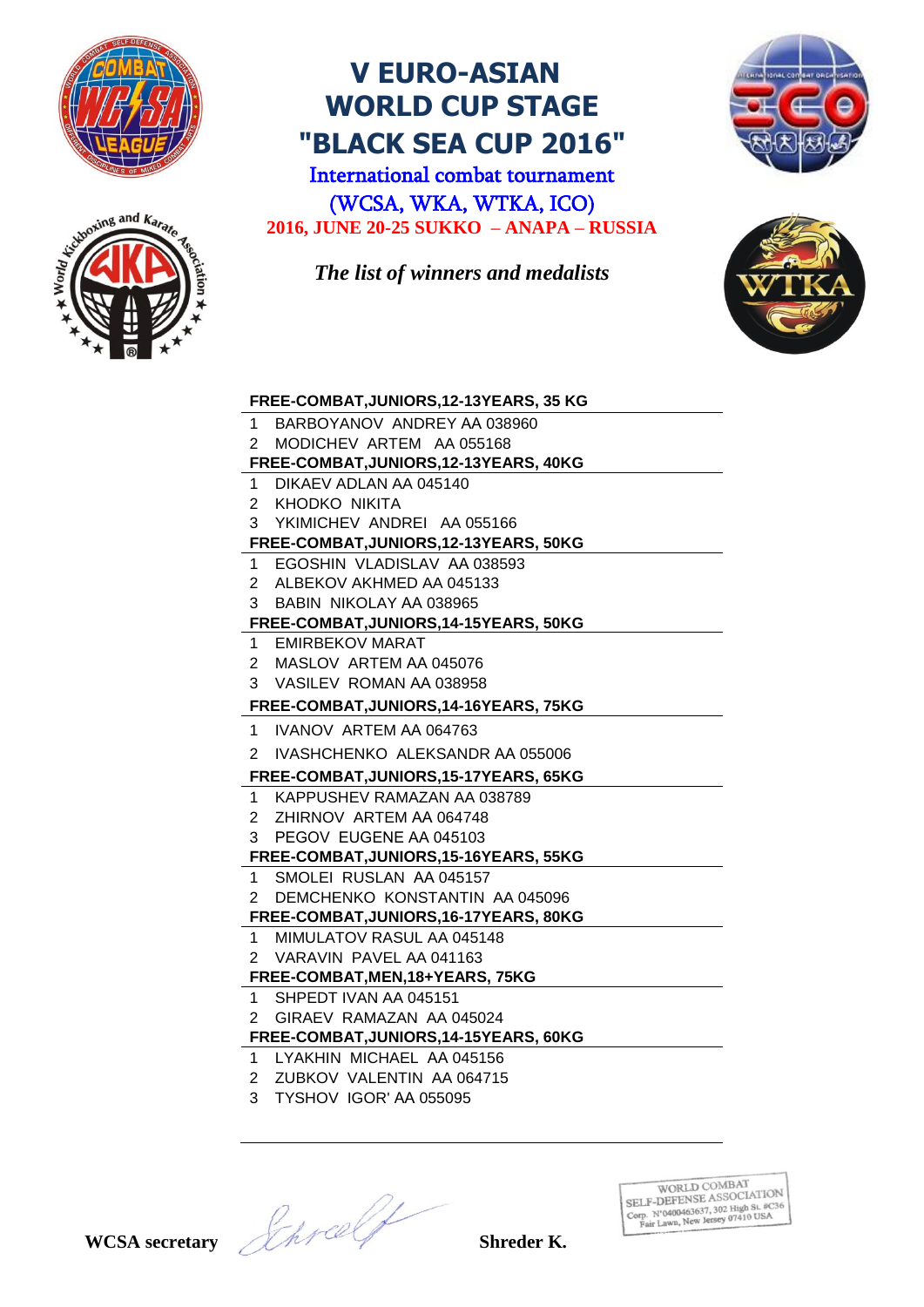

International combat tournament

(WCSA, WKA, WTKA, ICO) **2016, JUNE 20-25 SUKKO – ANAPA – RUSSIA**

*The list of winners and medalists*





#### **FREE-COMBAT,JUNIORS,12-13YEARS, 35 KG**

- 1 BARBOYANOV ANDREY АА 038960
- 2 MODICHEV ARTEM AA 055168
- **FREE-COMBAT,JUNIORS,12-13YEARS, 40KG**
- 1 DIKAEV ADLAN AA 045140
- 2 KHODKO NIKITA
- 3 YKIMICHEV ANDREI AA 055166

#### **FREE-COMBAT,JUNIORS,12-13YEARS, 50KG**

- 1 EGOSHIN VLADISLAV АА 038593
- 2 ALBEKOV AKHMED AA 045133
- 3 BABIN NIKOLAY АА 038965

#### **FREE-COMBAT,JUNIORS,14-15YEARS, 50KG**

- 1 EMIRBEKOV MARAT
- 2 MASLOV ARTEM АА 045076
- 3 VASILEV ROMAN АА 038958

#### **FREE-COMBAT,JUNIORS,14-16YEARS, 75KG**

- 1 IVANOV ARTEM АА 064763
- 2 IVASHCHENKO ALEKSANDR АА 055006

#### **FREE-COMBAT,JUNIORS,15-17YEARS, 65KG**

- 1 KAPPUSHEV RAMAZAN AA 038789
- 2 ZHIRNOV ARTEM АА 064748
- 3 PEGOV EUGENE АА 045103

#### **FREE-COMBAT,JUNIORS,15-16YEARS, 55KG**

- 1 SMOLEI RUSLAN AA 045157
- 2 DEMCHENKO KONSTANTIN AA 045096

#### **FREE-COMBAT,JUNIORS,16-17YEARS, 80KG**

- 1 MIMULATOV RASUL AA 045148
- 2 VARAVIN PAVEL AA 041163

#### **FREE-COMBAT,MEN,18+YEARS, 75KG**

- 1 SHPEDT IVAN AA 045151
- 2 GIRAEV RAMAZAN AA 045024

#### **FREE-COMBAT,JUNIORS,14-15YEARS, 60KG**

- 1 LYAKHIN MICHAEL АА 045156
- 2 ZUBKOV VALENTIN AA 064715
- 3 TYSHOV IGOR' АА 055095

WCSA secretary *Shreef* Shreder K.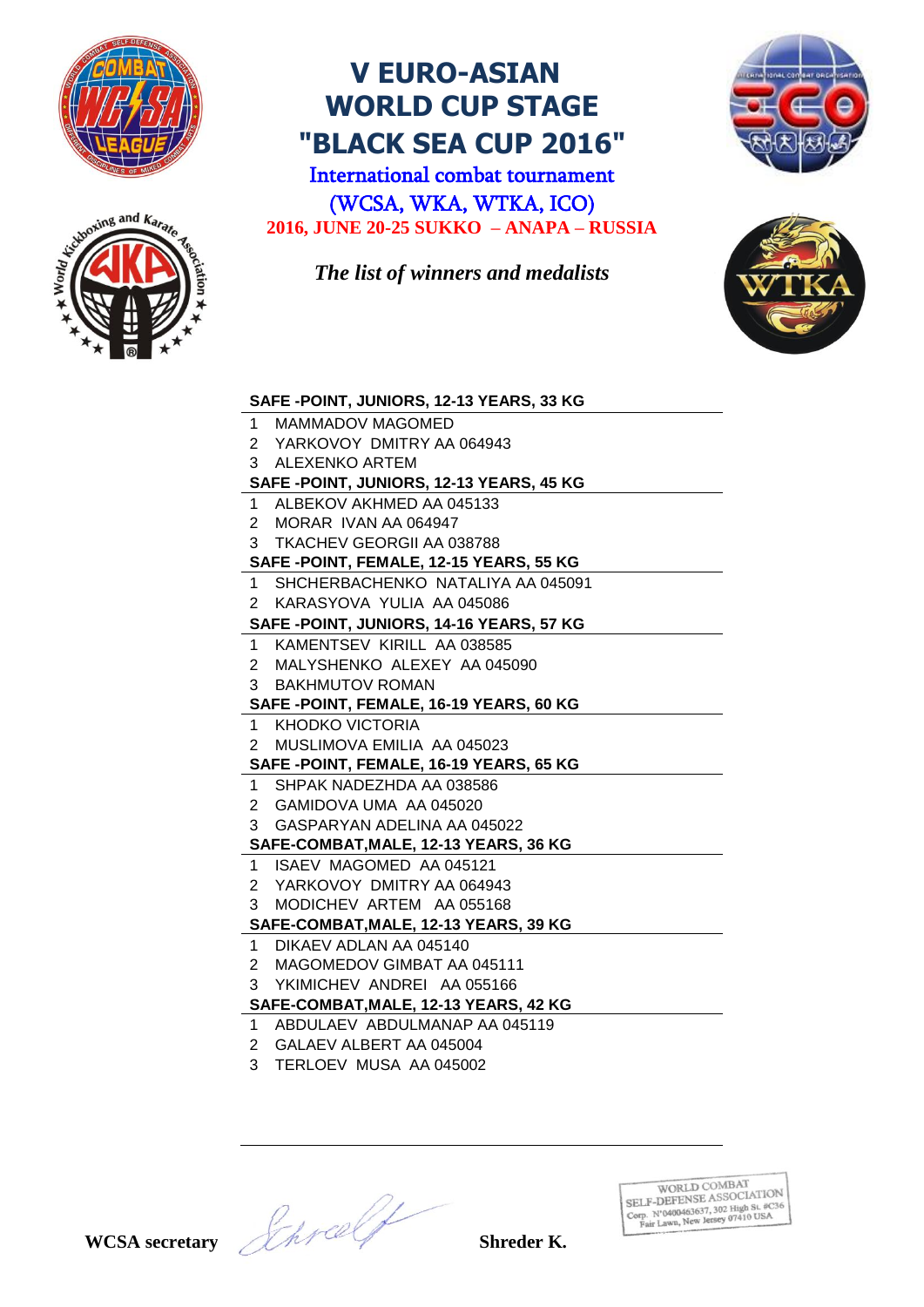

International combat tournament

(WCSA, WKA, WTKA, ICO) **2016, JUNE 20-25 SUKKO – ANAPA – RUSSIA**

*The list of winners and medalists*





#### **SAFE -POINT, JUNIORS, 12-13 YEARS, 33 KG**

- 1 MAMMADOV MAGOMED
- 2 YARKOVOY DMITRY AA 064943
- 3 ALEXENKO ARTEM
- **SAFE -POINT, JUNIORS, 12-13 YEARS, 45 KG**
- 1 ALBEKOV AKHMED AA 045133
- 2 MORAR IVAN AA 064947
- 3 TKACHEV GEORGII AA 038788

### **SAFE -POINT, FEMALE, 12-15 YEARS, 55 KG**

- 1 SHCHERBACHENKO NATALIYA AA 045091
- 2 KARASYOVA YULIA AA 045086
- **SAFE -POINT, JUNIORS, 14-16 YEARS, 57 KG**
- 1 KAMENTSEV KIRILL AA 038585
- 2 MALYSHENKO ALEXEY AA 045090
- 3 BAKHMUTOV ROMAN
- **SAFE -POINT, FEMALE, 16-19 YEARS, 60 KG**
- 1 KHODKO VICTORIA
- 2 MUSLIMOVA EMILIA AA 045023

#### **SAFE -POINT, FEMALE, 16-19 YEARS, 65 KG**

- 1 SHPAK NADEZHDA AA 038586
- 2 GAMIDOVA UMA AA 045020
- 3 GASPARYAN ADELINA AA 045022
- **SAFE-COMBAT,MALE, 12-13 YEARS, 36 KG**
- 1 ISAEV MAGOMED AA 045121
- 2 YARKOVOY DMITRY AA 064943
- 3 MODICHEV ARTEM AA 055168

#### **SAFE-COMBAT,MALE, 12-13 YEARS, 39 KG**

- 1 DIKAEV ADLAN AA 045140
- 2 MAGOMEDOV GIMBAT AA 045111
- 3 YKIMICHEV ANDREI AA 055166
- **SAFE-COMBAT,MALE, 12-13 YEARS, 42 KG**
- 1 ABDULAEV ABDULMANAP AA 045119
- 2 GALAEV ALBERT AA 045004
- 3 TERLOEV MUSA AA 045002

WCSA secretary *Shreef* Shreder K.

WORLD COMBAI WORLD COMBAIL<br>SELF-DEFENSE ASSOCIATION SELF-DEFENSE ASSOCIATION<br>Corp. N'0400463637, 302 High St. #C36<br>Fair Lawn, New Jersey 07410 USA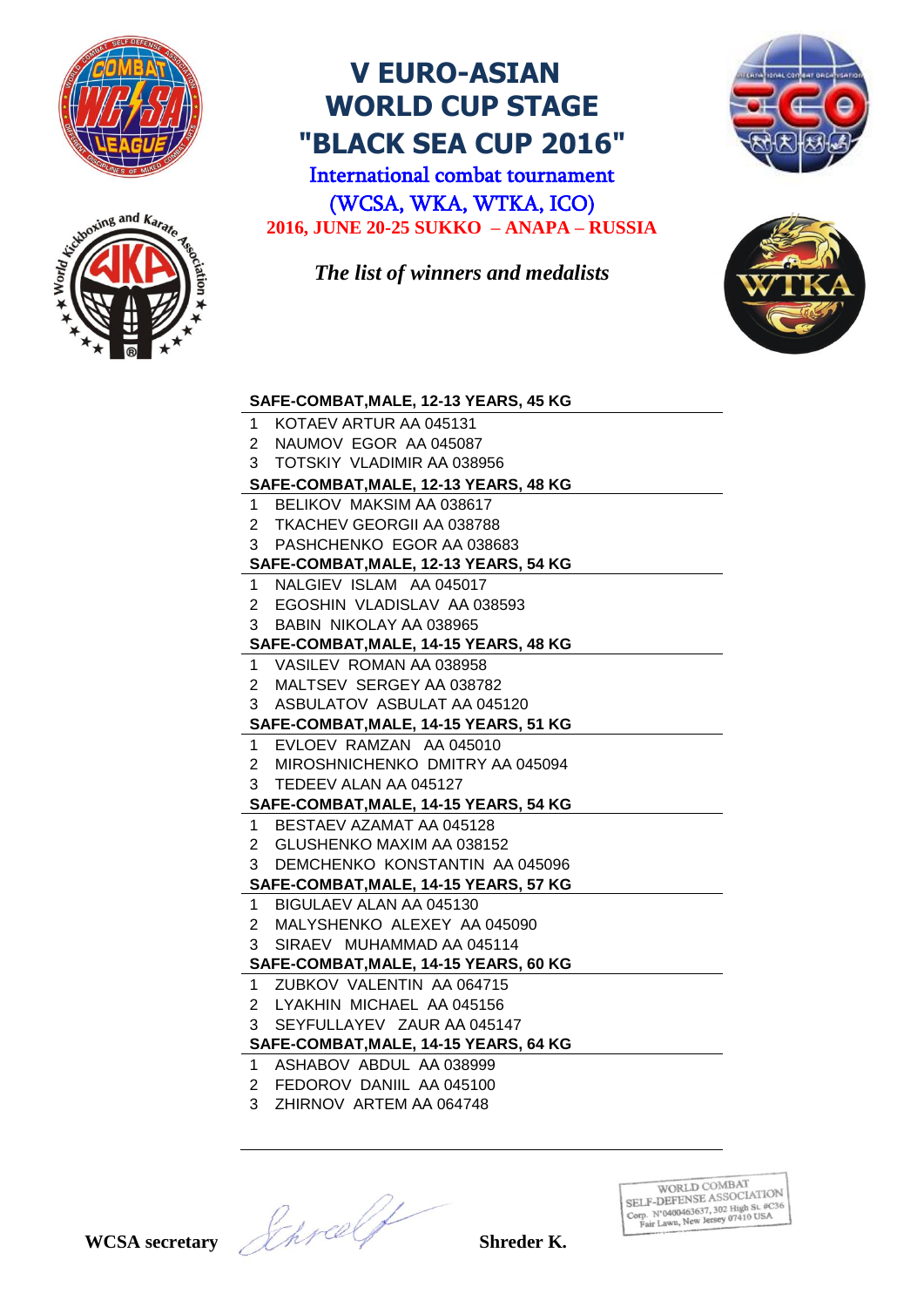

International combat tournament

(WCSA, WKA, WTKA, ICO) **2016, JUNE 20-25 SUKKO – ANAPA – RUSSIA**

*The list of winners and medalists*





#### **SAFE-COMBAT,MALE, 12-13 YEARS, 45 KG**

- 1 KOTAEV ARTUR AA 045131
- 2 NAUMOV EGOR AA 045087
- 3 TOTSKIY VLADIMIR АА 038956

#### **SAFE-COMBAT,MALE, 12-13 YEARS, 48 KG**

- 1 BELIKOV MAKSIM АА 038617
- 2 TKACHEV GEORGII AA 038788
- 3 PASHCHENKO EGOR AA 038683

#### **SAFE-COMBAT,MALE, 12-13 YEARS, 54 KG**

- 1 NALGIEV ISLAM AA 045017
- 2 EGOSHIN VLADISLAV АА 038593
- 3 BABIN NIKOLAY АА 038965

#### **SAFE-COMBAT,MALE, 14-15 YEARS, 48 KG**

- 1 VASILEV ROMAN АА 038958
- 2 MALTSEV SERGEY АА 038782
- 3 ASBULATOV ASBULAT AA 045120

#### **SAFE-COMBAT,MALE, 14-15 YEARS, 51 KG**

- 1 EVLOEV RAMZAN AA 045010
- 2 MIROSHNICHENKO DMITRY AA 045094
- 3 TEDEEV ALAN AA 045127

#### **SAFE-COMBAT,MALE, 14-15 YEARS, 54 KG**

- 1 BESTAEV AZAMAT AA 045128
- 2 GLUSHENKO MAXIM AA 038152
- 3 DEMCHENKO KONSTANTIN AA 045096
- **SAFE-COMBAT,MALE, 14-15 YEARS, 57 KG**
- 1 BIGULAEV ALAN AA 045130
- 2 MALYSHENKO ALEXEY AA 045090
- 3 SIRAEV MUHAMMAD AA 045114

#### **SAFE-COMBAT,MALE, 14-15 YEARS, 60 KG**

- 1 ZUBKOV VALENTIN AA 064715
- 2 LYAKHIN MICHAEL АА 045156
- 3 SEYFULLAYEV ZAUR АА 045147

#### **SAFE-COMBAT,MALE, 14-15 YEARS, 64 KG**

- 1 ASHABOV ABDUL АА 038999
- 2 FEDOROV DANIIL AA 045100
- 3 ZHIRNOV ARTEM АА 064748

WCSA secretary *Shreef* Shreder K.

WORLD COMBAI WORLD COMBAIL<br>SELF-DEFENSE ASSOCIATION SELF-DEFENSE ASSOCIATION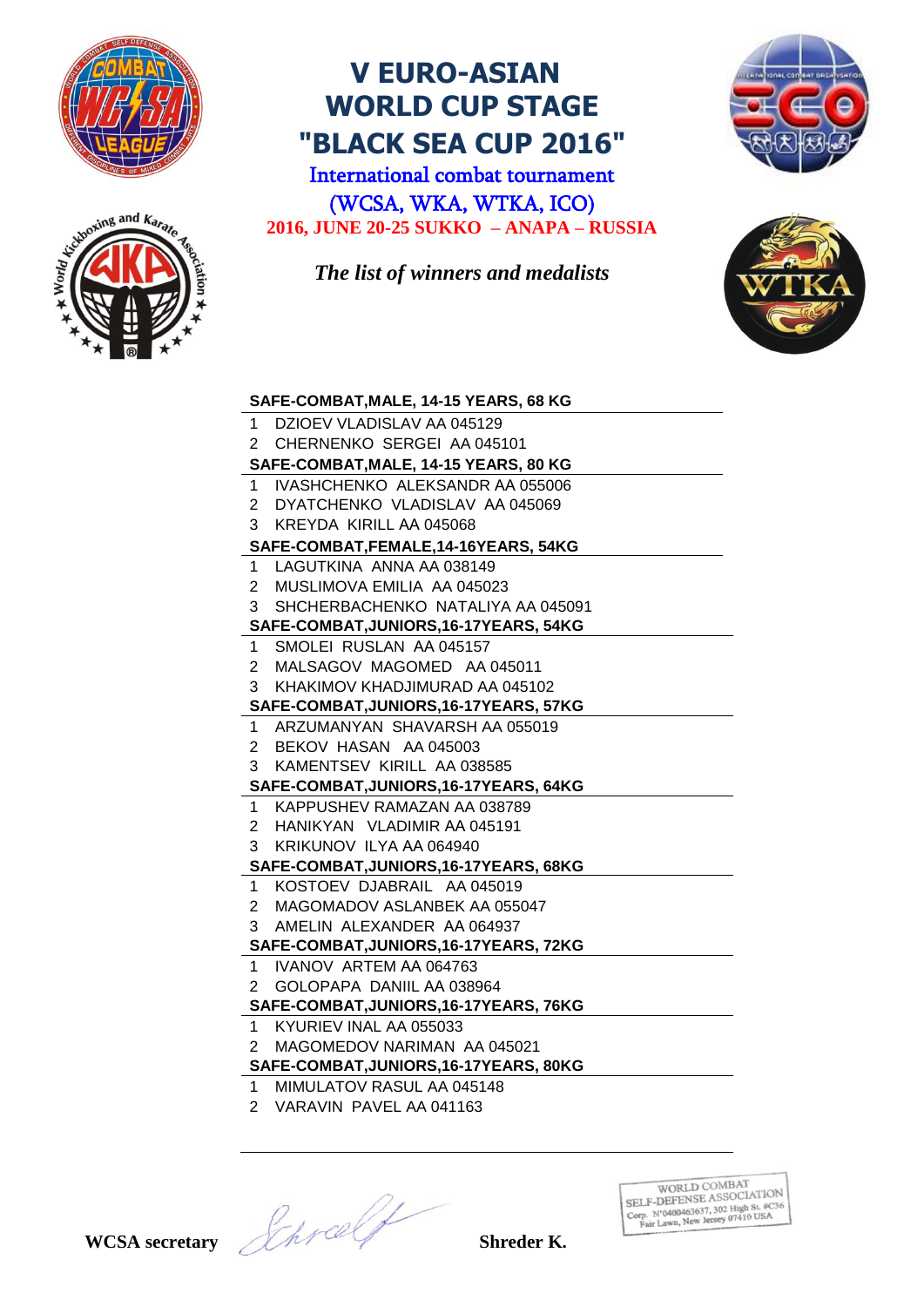

International combat tournament

(WCSA, WKA, WTKA, ICO) **2016, JUNE 20-25 SUKKO – ANAPA – RUSSIA**

*The list of winners and medalists*





#### **SAFE-COMBAT,MALE, 14-15 YEARS, 68 KG**

- 1 DZIOEV VLADISLAV AA 045129
- 2 CHERNENKO SERGEI AA 045101

#### **SAFE-COMBAT,MALE, 14-15 YEARS, 80 KG**

- 1 IVASHCHENKO ALEKSANDR АА 055006
- 2 DYATCHENKO VLADISLAV АА 045069
- 3 KREYDA KIRILL АА 045068

#### **SAFE-COMBAT,FEMALE,14-16YEARS, 54KG**

- 1 LAGUTKINA ANNA AA 038149
- 2 MUSLIMOVA EMILIA AA 045023
- 3 SHCHERBACHENKO NATALIYA AA 045091

#### **SAFE-COMBAT,JUNIORS,16-17YEARS, 54KG**

- 1 SMOLEI RUSLAN AA 045157
- 2 MALSAGOV MAGOMED AA 045011
- 3 KHAKIMOV KHADJIMURAD AA 045102

#### **SAFE-COMBAT,JUNIORS,16-17YEARS, 57KG**

- 1 ARZUMANYAN SHAVARSH AA 055019
- 2 BEKOV HASAN AA 045003
- 3 KAMENTSEV KIRILL AA 038585

#### **SAFE-COMBAT,JUNIORS,16-17YEARS, 64KG**

- 1 KAPPUSHEV RAMAZAN AA 038789
- 2 HANIKYAN VLADIMIR АА 045191
- 3 KRIKUNOV ILYA АА 064940

#### **SAFE-COMBAT,JUNIORS,16-17YEARS, 68KG**

- 1 KOSTOEV DJABRAIL AA 045019
- 2 MAGOMADOV ASLANBEK AA 055047
- 3 AMELIN ALEXANDER АА 064937

#### **SAFE-COMBAT,JUNIORS,16-17YEARS, 72KG**

- 1 IVANOV ARTEM АА 064763
- 2 GOLOPAPA DANIIL АА 038964
- **SAFE-COMBAT,JUNIORS,16-17YEARS, 76KG**
- 1 KYURIEV INAL AA 055033
- 2 MAGOMEDOV NARIMAN AA 045021
- **SAFE-COMBAT,JUNIORS,16-17YEARS, 80KG**
- 1 MIMULATOV RASUL AA 045148
- 2 VARAVIN PAVEL AA 041163

WCSA secretary *Shreef* Shreder K.

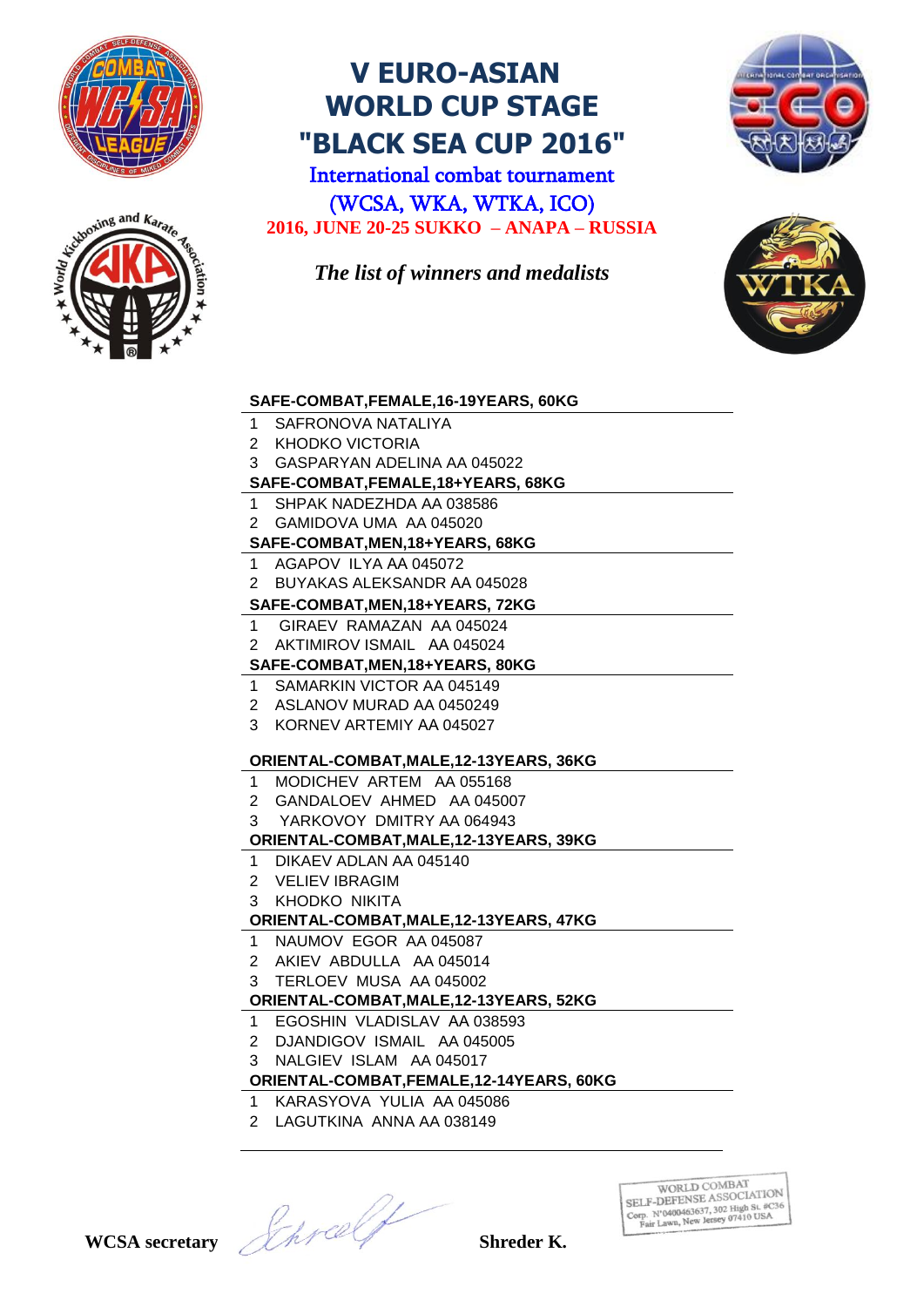

International combat tournament

(WCSA, WKA, WTKA, ICO) **2016, JUNE 20-25 SUKKO – ANAPA – RUSSIA**

*The list of winners and medalists*





#### **SAFE-COMBAT,FEMALE,16-19YEARS, 60KG**

- 1 SAFRONOVA NATALIYA
- 2 KHODKO VICTORIA
- 3 GASPARYAN ADELINA AA 045022
- **SAFE-COMBAT,FEMALE,18+YEARS, 68KG**
- 1 SHPAK NADEZHDA AA 038586
- 2 GAMIDOVA UMA AA 045020

#### **SAFE-COMBAT,MEN,18+YEARS, 68KG**

- 1 AGAPOV ILYA АА 045072
- 2 BUYAKAS ALEKSANDR АА 045028

#### **SAFE-COMBAT,MEN,18+YEARS, 72KG**

- 1 GIRAEV RAMAZAN AA 045024
- 2 AKTIMIROV ISMAIL АА 045024

#### **SAFE-COMBAT,MEN,18+YEARS, 80KG**

- 1 SAMARKIN VICTOR AA 045149
- 2 ASLANOV MURAD AA 0450249
- 3 KORNEV ARTEMIY АА 045027

#### **ORIENTAL-COMBAT,MALE,12-13YEARS, 36KG**

- 1 MODICHEV ARTEM AA 055168
- 2 GANDALOEV AHMED AA 045007
- 3 YARKOVOY DMITRY AA 064943
- **ORIENTAL-COMBAT,MALE,12-13YEARS, 39KG**
- 1 DIKAEV ADLAN AA 045140
- 2 VELIEV IBRAGIM
- 3 KHODKO NIKITA

#### **ORIENTAL-COMBAT,MALE,12-13YEARS, 47KG**

- 1 NAUMOV EGOR AA 045087
- 2 AKIEV ABDULLA AA 045014
- 3 TERLOEV MUSA AA 045002

### **ORIENTAL-COMBAT,MALE,12-13YEARS, 52KG**

- 1 EGOSHIN VLADISLAV АА 038593
- 2 DJANDIGOV ISMAIL AA 045005
- 3 NALGIEV ISLAM AA 045017

#### **ORIENTAL-COMBAT,FEMALE,12-14YEARS, 60KG**

- 1 KARASYOVA YULIA AA 045086
- 2 LAGUTKINA ANNA AA 038149

WCSA secretary *Shreef* Shreder K.

WORLD COMBAI WORLD COMBAIL<br>SELF-DEFENSE ASSOCIATION SELF-DEFENSE ASSOCIATION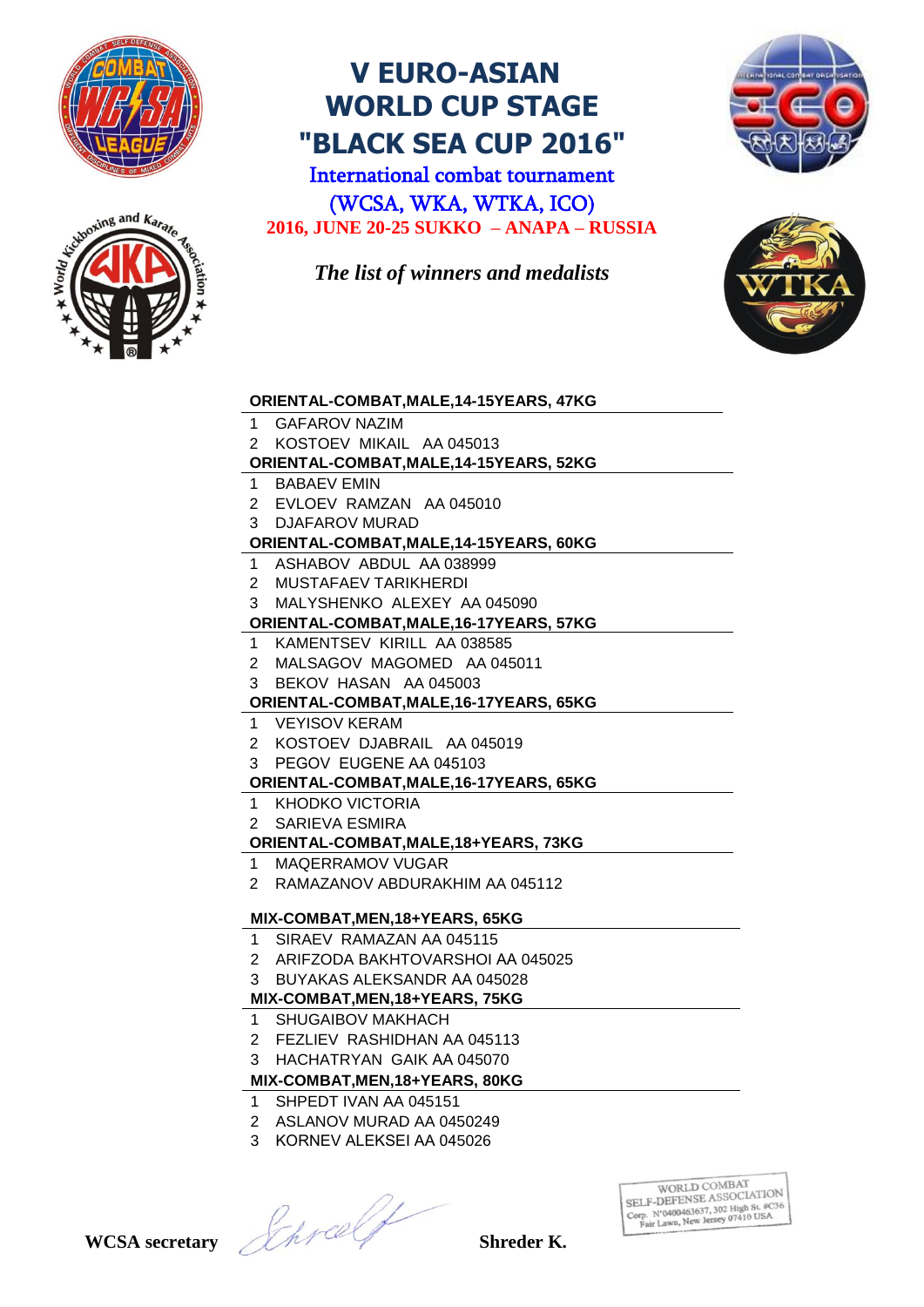

International combat tournament

(WCSA, WKA, WTKA, ICO) **2016, JUNE 20-25 SUKKO – ANAPA – RUSSIA**

*The list of winners and medalists*





#### **ORIENTAL-COMBAT,MALE,14-15YEARS, 47KG**

- 1 GAFAROV NAZIM
- 2 KOSTOEV MIKAIL AA 045013
- **ORIENTAL-COMBAT,MALE,14-15YEARS, 52KG**
- 1 BABAEV EMIN
- 2 EVLOEV RAMZAN AA 045010
- 3 DJAFAROV MURAD

#### **ORIENTAL-COMBAT,MALE,14-15YEARS, 60KG**

- 1 ASHABOV ABDUL АА 038999
- 2 MUSTAFAEV TARIKHERDI
- 3 MALYSHENKO ALEXEY AA 045090

**ORIENTAL-COMBAT,MALE,16-17YEARS, 57KG**

- 1 KAMENTSEV KIRILL AA 038585
- 2 MALSAGOV MAGOMED AA 045011
- 3 BEKOV HASAN AA 045003
- **ORIENTAL-COMBAT,MALE,16-17YEARS, 65KG**
- 1 VEYISOV KERAM
- 2 KOSTOEV DJABRAIL AA 045019
- 3 PEGOV EUGENE АА 045103

#### **ORIENTAL-COMBAT,MALE,16-17YEARS, 65KG**

- 1 KHODKO VICTORIA
- 2 SARIEVA ESMIRA
- **ORIENTAL-COMBAT,MALE,18+YEARS, 73KG**
- 1 MAQERRAMOV VUGAR
- 2 RAMAZANOV ABDURAKHIM AA 045112

#### **MIX-COMBAT,MEN,18+YEARS, 65KG**

- 1 SIRAEV RAMAZAN AA 045115
- 2 ARIFZODA BAKHTOVARSHOI АА 045025
- 3 BUYAKAS ALEKSANDR АА 045028

#### **MIX-COMBAT,MEN,18+YEARS, 75KG**

- 1 SHUGAIBOV MAKHACH
- 2 FEZLIEV RASHIDHAN AA 045113
- 3 HACHATRYAN GAIK АА 045070
- **MIX-COMBAT,MEN,18+YEARS, 80KG**
- 1 SHPEDT IVAN AA 045151
- 2 ASLANOV MURAD AA 0450249
- 3 KORNEV ALEKSEI АА 045026

WCSA secretary *Shreef* Shreder K.

WORLD COMBAI WORLD COMBAIL<br>SELF-DEFENSE ASSOCIATION SELF-DEFENSE ASSOCIATION